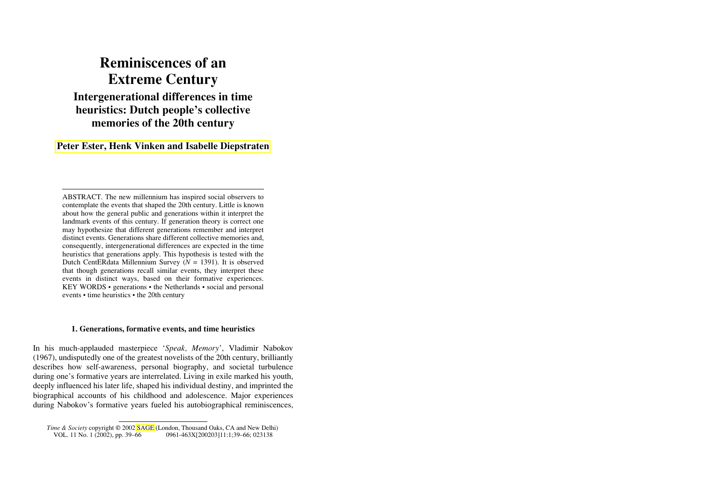# **Reminiscences of an Extreme Century Intergenerational differences in time heuristics: Dutch people's collective memories of the 20th century**

**[Peter Ester, Henk Vinken and Isabelle Diepstraten](#page-27-0)**

ABSTRACT. The new millennium has inspired social observers to contemplate the events that shaped the 20th century. Little is known about how the general public and generations within it interpret the landmark events of this century. If generation theory is correct one may hypothesize that different generations remember and interpret distinct events. Generations share different collective memories and, consequently, intergenerational differences are expected in the time heuristics that generations apply. This hypothesis is tested with the Dutch CentERdata Millennium Survey (*N* = 1391). It is observed that though generations recall similar events, they interpret these events in distinct ways, based on their formative experiences. KEY WORDS • generations • the Netherlands • social and personal events • time heuristics • the 20th century

## **1. Generations, formative events, and time heuristics**

In his much-applauded masterpiece '*Speak, Memory*', Vladimir Nabokov (1967), undisputedly one of the greatest novelists of the 20th century, brilliantly describes how self-awareness, personal biography, and societal turbulence during one's formative years are interrelated. Living in exile marked his youth, deeply influenced his later life, shaped his individual destiny, and imprinted the biographical accounts of his childhood and adolescence. Major experiences during Nabokov's formative years fueled his autobiographical reminiscences,

*Time & Society* copyright © 2002 [SAGE](http:\\www.sagepublications.com) (London, Thousand Oaks, CA and New Delhi) VOL. 11 No. 1 (2002), pp. 39–66 0961-463X[200203]11:1;39–66; 023138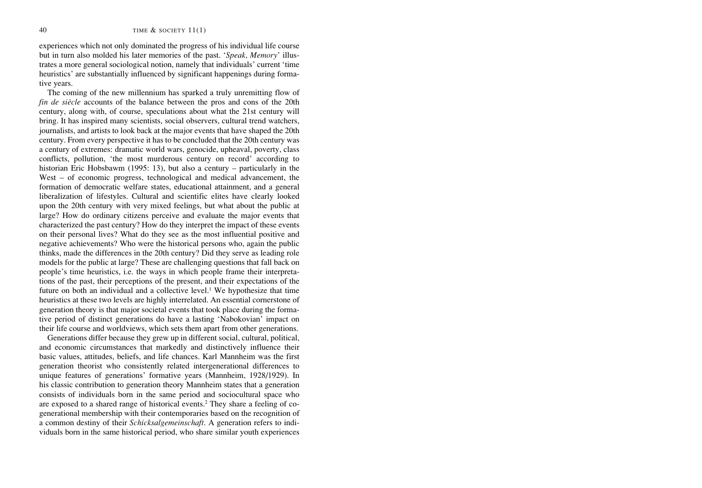experiences which not only dominated the progress of his individual life course but in turn also molded his later memories of the past. '*Speak, Memory*' illustrates a more general sociological notion, namely that individuals' current 'time heuristics' are substantially influenced by significant happenings during formative years.

The coming of the new millennium has sparked a truly unremitting flow of *fin de siècle* accounts of the balance between the pros and cons of the 20th century, along with, of course, speculations about what the 21st century will bring. It has inspired many scientists, social observers, cultural trend watchers, journalists, and artists to look back at the major events that have shaped the 20th century. From every perspective it has to be concluded that the 20th century was a century of extremes: dramatic world wars, genocide, upheaval, poverty, class conflicts, pollution, 'the most murderous century on record' according to historian Eric Hobsbawm (1995: 13), but also a century – particularly in the West – of economic progress, technological and medical advancement, the formation of democratic welfare states, educational attainment, and a general liberalization of lifestyles. Cultural and scientific elites have clearly looked upon the 20th century with very mixed feelings, but what about the public at large? How do ordinary citizens perceive and evaluate the major events that characterized the past century? How do they interpret the impact of these events on their personal lives? What do they see as the most influential positive and negative achievements? Who were the historical persons who, again the public thinks, made the differences in the 20th century? Did they serve as leading role models for the public at large? These are challenging questions that fall back on people's time heuristics, i.e. the ways in which people frame their interpretations of the past, their perceptions of the present, and their expectations of the future on both an individual and a collective level.<sup>1</sup> We hypothesize that time heuristics at these two levels are highly interrelated. An essential cornerstone of generation theory is that major societal events that took place during the formative period of distinct generations do have a lasting 'Nabokovian' impact on their life course and worldviews, which sets them apart from other generations.

Generations differ because they grew up in different social, cultural, political, and economic circumstances that markedly and distinctively influence their basic values, attitudes, beliefs, and life chances. Karl Mannheim was the first generation theorist who consistently related intergenerational differences to unique features of generations' formative years (Mannheim, 1928/1929). In his classic contribution to generation theory Mannheim states that a generation consists of individuals born in the same period and sociocultural space who are exposed to a shared range of historical events.2 They share a feeling of cogenerational membership with their contemporaries based on the recognition of a common destiny of their *Schicksalgemeinschaft*. A generation refers to individuals born in the same historical period, who share similar youth experiences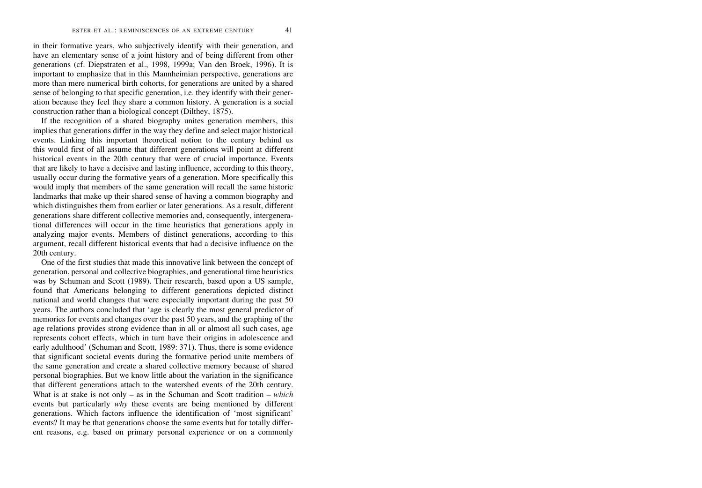in their formative years, who subjectively identify with their generation, and have an elementary sense of a joint history and of being different from other generations (cf. Diepstraten et al., 1998, 1999a; Van den Broek, 1996). It is important to emphasize that in this Mannheimian perspective, generations are more than mere numerical birth cohorts, for generations are united by a shared sense of belonging to that specific generation, i.e. they identify with their generation because they feel they share a common history. A generation is a social construction rather than a biological concept (Dilthey, 1875).

If the recognition of a shared biography unites generation members, this implies that generations differ in the way they define and select major historical events. Linking this important theoretical notion to the century behind us this would first of all assume that different generations will point at different historical events in the 20th century that were of crucial importance. Events that are likely to have a decisive and lasting influence, according to this theory, usually occur during the formative years of a generation. More specifically this would imply that members of the same generation will recall the same historic landmarks that make up their shared sense of having a common biography and which distinguishes them from earlier or later generations. As a result, different generations share different collective memories and, consequently, intergenerational differences will occur in the time heuristics that generations apply in analyzing major events. Members of distinct generations, according to this argument, recall different historical events that had a decisive influence on the 20th century.

One of the first studies that made this innovative link between the concept of generation, personal and collective biographies, and generational time heuristics was by Schuman and Scott (1989). Their research, based upon a US sample, found that Americans belonging to different generations depicted distinct national and world changes that were especially important during the past 50 years. The authors concluded that 'age is clearly the most general predictor of memories for events and changes over the past 50 years, and the graphing of the age relations provides strong evidence than in all or almost all such cases, age represents cohort effects, which in turn have their origins in adolescence and early adulthood' (Schuman and Scott, 1989: 371). Thus, there is some evidence that significant societal events during the formative period unite members of the same generation and create a shared collective memory because of shared personal biographies. But we know little about the variation in the significance that different generations attach to the watershed events of the 20th century. What is at stake is not only – as in the Schuman and Scott tradition – *which* events but particularly *why* these events are being mentioned by different generations. Which factors influence the identification of 'most significant' events? It may be that generations choose the same events but for totally different reasons, e.g. based on primary personal experience or on a commonly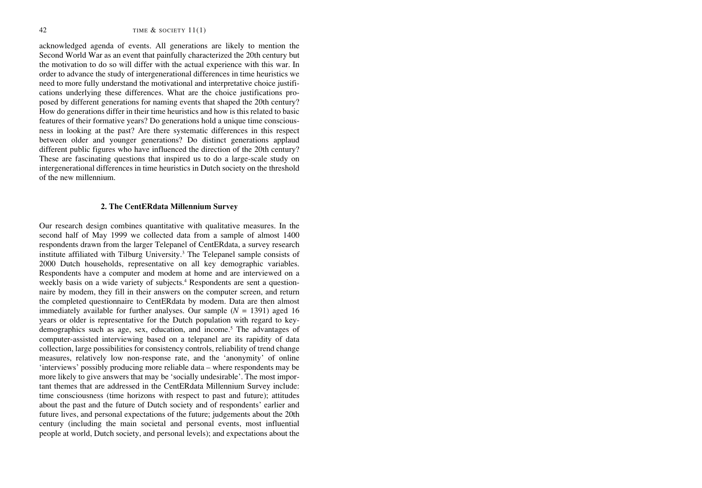acknowledged agenda of events. All generations are likely to mention the Second World War as an event that painfully characterized the 20th century but the motivation to do so will differ with the actual experience with this war. In order to advance the study of intergenerational differences in time heuristics we need to more fully understand the motivational and interpretative choice justifications underlying these differences. What are the choice justifications proposed by different generations for naming events that shaped the 20th century? How do generations differ in their time heuristics and how is this related to basic features of their formative years? Do generations hold a unique time consciousness in looking at the past? Are there systematic differences in this respect between older and younger generations? Do distinct generations applaud different public figures who have influenced the direction of the 20th century? These are fascinating questions that inspired us to do a large-scale study on intergenerational differences in time heuristics in Dutch society on the threshold of the new millennium.

#### **2. The CentERdata Millennium Survey**

Our research design combines quantitative with qualitative measures. In the second half of May 1999 we collected data from a sample of almost 1400 respondents drawn from the larger Telepanel of CentERdata, a survey research institute affiliated with Tilburg University.<sup>3</sup> The Telepanel sample consists of 2000 Dutch households, representative on all key demographic variables. Respondents have a computer and modem at home and are interviewed on a weekly basis on a wide variety of subjects.<sup>4</sup> Respondents are sent a questionnaire by modem, they fill in their answers on the computer screen, and return the completed questionnaire to CentERdata by modem. Data are then almost immediately available for further analyses. Our sample  $(N = 1391)$  aged 16 years or older is representative for the Dutch population with regard to keydemographics such as age, sex, education, and income.<sup>5</sup> The advantages of computer-assisted interviewing based on a telepanel are its rapidity of data collection, large possibilities for consistency controls, reliability of trend change measures, relatively low non-response rate, and the 'anonymity' of online 'interviews' possibly producing more reliable data – where respondents may be more likely to give answers that may be 'socially undesirable'. The most important themes that are addressed in the CentERdata Millennium Survey include: time consciousness (time horizons with respect to past and future); attitudes about the past and the future of Dutch society and of respondents' earlier and future lives, and personal expectations of the future; judgements about the 20th century (including the main societal and personal events, most influential people at world, Dutch society, and personal levels); and expectations about the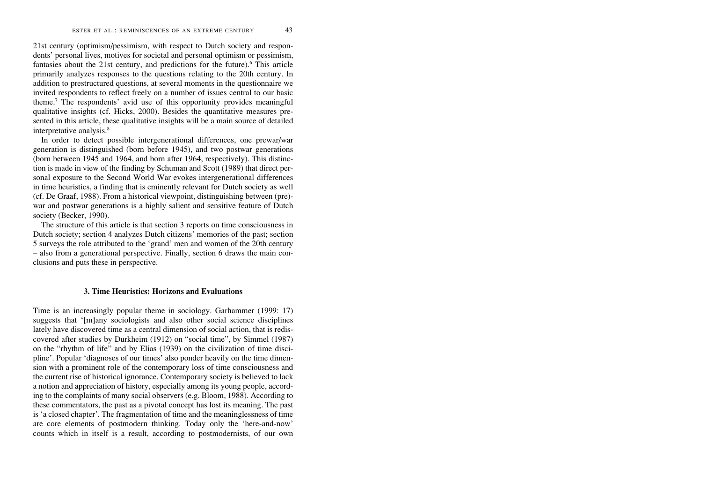21st century (optimism/pessimism, with respect to Dutch society and respondents' personal lives, motives for societal and personal optimism or pessimism, fantasies about the 21st century, and predictions for the future).<sup>6</sup> This article primarily analyzes responses to the questions relating to the 20th century. In addition to prestructured questions, at several moments in the questionnaire we invited respondents to reflect freely on a number of issues central to our basic theme.7 The respondents' avid use of this opportunity provides meaningful qualitative insights (cf. Hicks, 2000). Besides the quantitative measures presented in this article, these qualitative insights will be a main source of detailed interpretative analysis.<sup>8</sup>

In order to detect possible intergenerational differences, one prewar/war generation is distinguished (born before 1945), and two postwar generations (born between 1945 and 1964, and born after 1964, respectively). This distinction is made in view of the finding by Schuman and Scott (1989) that direct personal exposure to the Second World War evokes intergenerational differences in time heuristics, a finding that is eminently relevant for Dutch society as well (cf. De Graaf, 1988). From a historical viewpoint, distinguishing between (pre) war and postwar generations is a highly salient and sensitive feature of Dutch society (Becker, 1990).

The structure of this article is that section 3 reports on time consciousness in Dutch society; section 4 analyzes Dutch citizens' memories of the past; section 5 surveys the role attributed to the 'grand' men and women of the 20th century – also from a generational perspective. Finally, section 6 draws the main conclusions and puts these in perspective.

#### **3. Time Heuristics: Horizons and Evaluations**

Time is an increasingly popular theme in sociology. Garhammer (1999: 17) suggests that '[m]any sociologists and also other social science disciplines lately have discovered time as a central dimension of social action, that is rediscovered after studies by Durkheim (1912) on "social time", by Simmel (1987) on the "rhythm of life" and by Elias (1939) on the civilization of time discipline'. Popular 'diagnoses of our times' also ponder heavily on the time dimension with a prominent role of the contemporary loss of time consciousness and the current rise of historical ignorance. Contemporary society is believed to lack a notion and appreciation of history, especially among its young people, according to the complaints of many social observers (e.g. Bloom, 1988). According to these commentators, the past as a pivotal concept has lost its meaning. The past is 'a closed chapter'. The fragmentation of time and the meaninglessness of time are core elements of postmodern thinking. Today only the 'here-and-now' counts which in itself is a result, according to postmodernists, of our own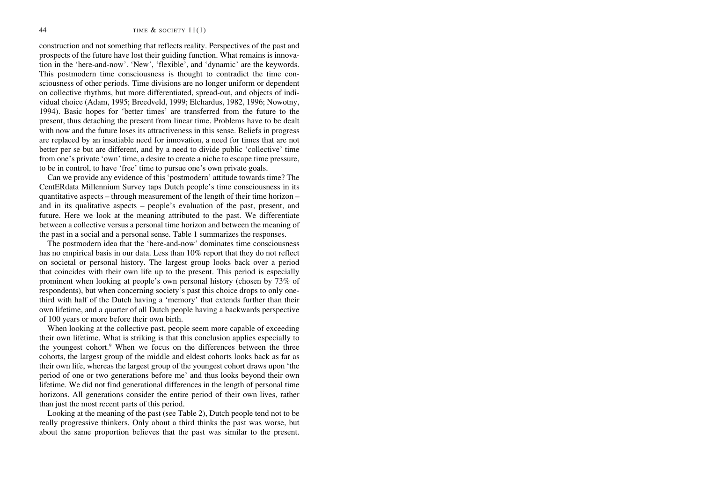construction and not something that reflects reality. Perspectives of the past and prospects of the future have lost their guiding function. What remains is innovation in the 'here-and-now'. 'New', 'flexible', and 'dynamic' are the keywords. This postmodern time consciousness is thought to contradict the time consciousness of other periods. Time divisions are no longer uniform or dependent on collective rhythms, but more differentiated, spread-out, and objects of individual choice (Adam, 1995; Breedveld, 1999; Elchardus, 1982, 1996; Nowotny, 1994). Basic hopes for 'better times' are transferred from the future to the present, thus detaching the present from linear time. Problems have to be dealt with now and the future loses its attractiveness in this sense. Beliefs in progress are replaced by an insatiable need for innovation, a need for times that are not better per se but are different, and by a need to divide public 'collective' time from one's private 'own' time, a desire to create a niche to escape time pressure, to be in control, to have 'free' time to pursue one's own private goals.

Can we provide any evidence of this 'postmodern' attitude towards time? The CentERdata Millennium Survey taps Dutch people's time consciousness in its quantitative aspects – through measurement of the length of their time horizon – and in its qualitative aspects – people's evaluation of the past, present, and future. Here we look at the meaning attributed to the past. We differentiate between a collective versus a personal time horizon and between the meaning of the past in a social and a personal sense. Table 1 summarizes the responses.

The postmodern idea that the 'here-and-now' dominates time consciousness has no empirical basis in our data. Less than 10% report that they do not reflect on societal or personal history. The largest group looks back over a period that coincides with their own life up to the present. This period is especially prominent when looking at people's own personal history (chosen by 73% of respondents), but when concerning society's past this choice drops to only onethird with half of the Dutch having a 'memory' that extends further than their own lifetime, and a quarter of all Dutch people having a backwards perspective of 100 years or more before their own birth.

When looking at the collective past, people seem more capable of exceeding their own lifetime. What is striking is that this conclusion applies especially to the youngest cohort.<sup>9</sup> When we focus on the differences between the three cohorts, the largest group of the middle and eldest cohorts looks back as far as their own life, whereas the largest group of the youngest cohort draws upon 'the period of one or two generations before me' and thus looks beyond their own lifetime. We did not find generational differences in the length of personal time horizons. All generations consider the entire period of their own lives, rather than just the most recent parts of this period.

Looking at the meaning of the past (see Table 2), Dutch people tend not to be really progressive thinkers. Only about a third thinks the past was worse, but about the same proportion believes that the past was similar to the present.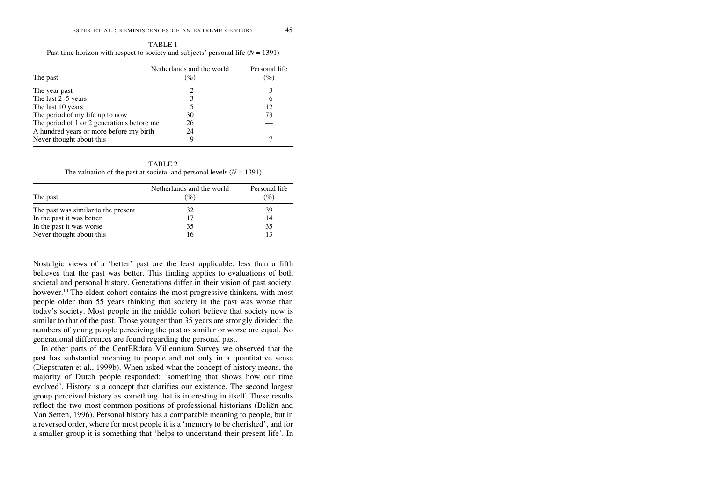|                                            | Netherlands and the world | Personal life |
|--------------------------------------------|---------------------------|---------------|
| The past                                   | $(\%)$                    | $(\%)$        |
| The year past                              |                           |               |
| The last 2–5 years                         |                           | 6             |
| The last 10 years                          |                           | 12            |
| The period of my life up to now            | 30                        | 73            |
| The period of 1 or 2 generations before me | 26                        |               |
| A hundred years or more before my birth    | 24                        |               |
| Never thought about this                   |                           |               |

TABLE 1 Past time horizon with respect to society and subjects' personal life  $(N = 1391)$ 

Netherlands and the world Personal life The past  $(\%)$  (%) The past was similar to the present 32 39 In the past it was better 17 14 In the past it was worse 35 35 Never thought about this 16 13

TABLE 2 The valuation of the past at societal and personal levels  $(N = 1391)$ 

Nostalgic views of a 'better' past are the least applicable: less than a fifth believes that the past was better. This finding applies to evaluations of both societal and personal history. Generations differ in their vision of past society, however.<sup>10</sup> The eldest cohort contains the most progressive thinkers, with most people older than 55 years thinking that society in the past was worse than today's society. Most people in the middle cohort believe that society now is similar to that of the past. Those younger than 35 years are strongly divided: the numbers of young people perceiving the past as similar or worse are equal. No generational differences are found regarding the personal past.

In other parts of the CentERdata Millennium Survey we observed that the past has substantial meaning to people and not only in a quantitative sense (Diepstraten et al., 1999b). When asked what the concept of history means, the majority of Dutch people responded: 'something that shows how our time evolved'. History is a concept that clarifies our existence. The second largest group perceived history as something that is interesting in itself. These results reflect the two most common positions of professional historians (Beliën and Van Setten, 1996). Personal history has a comparable meaning to people, but in a reversed order, where for most people it is a 'memory to be cherished', and for a smaller group it is something that 'helps to understand their present life'. In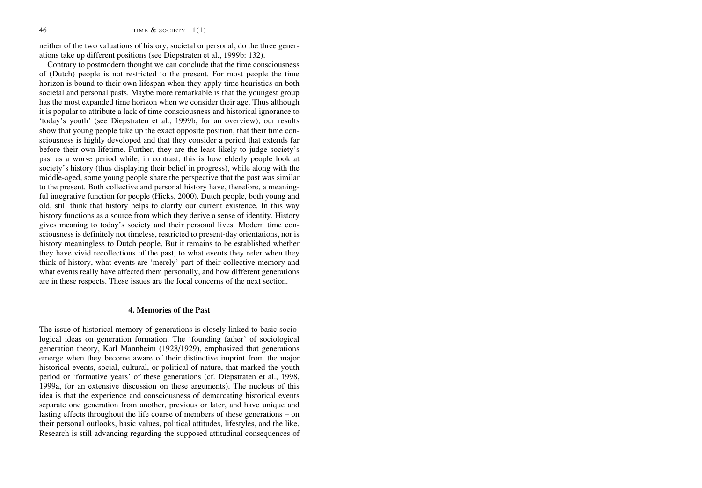neither of the two valuations of history, societal or personal, do the three generations take up different positions (see Diepstraten et al., 1999b: 132).

Contrary to postmodern thought we can conclude that the time consciousness of (Dutch) people is not restricted to the present. For most people the time horizon is bound to their own lifespan when they apply time heuristics on both societal and personal pasts. Maybe more remarkable is that the youngest group has the most expanded time horizon when we consider their age. Thus although it is popular to attribute a lack of time consciousness and historical ignorance to 'today's youth' (see Diepstraten et al., 1999b, for an overview), our results show that young people take up the exact opposite position, that their time consciousness is highly developed and that they consider a period that extends far before their own lifetime. Further, they are the least likely to judge society's past as a worse period while, in contrast, this is how elderly people look at society's history (thus displaying their belief in progress), while along with the middle-aged, some young people share the perspective that the past was similar to the present. Both collective and personal history have, therefore, a meaningful integrative function for people (Hicks, 2000). Dutch people, both young and old, still think that history helps to clarify our current existence. In this way history functions as a source from which they derive a sense of identity. History gives meaning to today's society and their personal lives. Modern time consciousness is definitely not timeless, restricted to present-day orientations, nor is history meaningless to Dutch people. But it remains to be established whether they have vivid recollections of the past, to what events they refer when they think of history, what events are 'merely' part of their collective memory and what events really have affected them personally, and how different generations are in these respects. These issues are the focal concerns of the next section.

### **4. Memories of the Past**

The issue of historical memory of generations is closely linked to basic sociological ideas on generation formation. The 'founding father' of sociological generation theory, Karl Mannheim (1928/1929), emphasized that generations emerge when they become aware of their distinctive imprint from the major historical events, social, cultural, or political of nature, that marked the youth period or 'formative years' of these generations (cf. Diepstraten et al., 1998, 1999a, for an extensive discussion on these arguments). The nucleus of this idea is that the experience and consciousness of demarcating historical events separate one generation from another, previous or later, and have unique and lasting effects throughout the life course of members of these generations – on their personal outlooks, basic values, political attitudes, lifestyles, and the like. Research is still advancing regarding the supposed attitudinal consequences of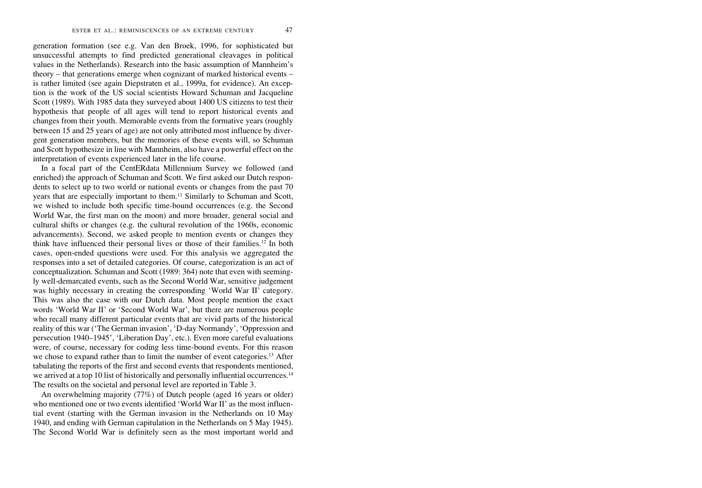generation formation (see e.g. Van den Broek, 1996, for sophisticated but unsuccessful attempts to find predicted generational cleavages in political values in the Netherlands). Research into the basic assumption of Mannheim's theory – that generations emerge when cognizant of marked historical events – is rather limited (see again Diepstraten et al., 1999a, for evidence). An exception is the work of the US social scientists Howard Schuman and Jacqueline Scott (1989). With 1985 data they surveyed about 1400 US citizens to test their hypothesis that people of all ages will tend to report historical events and changes from their youth. Memorable events from the formative years (roughly between 15 and 25 years of age) are not only attributed most influence by divergent generation members, but the memories of these events will, so Schuman and Scott hypothesize in line with Mannheim, also have a powerful effect on the interpretation of events experienced later in the life course.

In a focal part of the CentERdata Millennium Survey we followed (and enriched) the approach of Schuman and Scott. We first asked our Dutch respondents to select up to two world or national events or changes from the past 70 years that are especially important to them.<sup>11</sup> Similarly to Schuman and Scott, we wished to include both specific time-bound occurrences (e.g. the Second World War, the first man on the moon) and more broader, general social and cultural shifts or changes (e.g. the cultural revolution of the 1960s, economic advancements). Second, we asked people to mention events or changes they think have influenced their personal lives or those of their families.12 In both cases, open-ended questions were used. For this analysis we aggregated the responses into a set of detailed categories. Of course, categorization is an act of conceptualization. Schuman and Scott (1989: 364) note that even with seemingly well-demarcated events, such as the Second World War, sensitive judgement was highly necessary in creating the corresponding 'World War II' category. This was also the case with our Dutch data. Most people mention the exact words 'World War II' or 'Second World War', but there are numerous people who recall many different particular events that are vivid parts of the historical reality of this war ('The German invasion', 'D-day Normandy', 'Oppression and persecution 1940–1945', 'Liberation Day', etc.). Even more careful evaluations were, of course, necessary for coding less time-bound events. For this reason we chose to expand rather than to limit the number of event categories.<sup>13</sup> After tabulating the reports of the first and second events that respondents mentioned, we arrived at a top 10 list of historically and personally influential occurrences.<sup>14</sup> The results on the societal and personal level are reported in Table 3.

An overwhelming majority (77%) of Dutch people (aged 16 years or older) who mentioned one or two events identified 'World War II' as the most influential event (starting with the German invasion in the Netherlands on 10 May 1940, and ending with German capitulation in the Netherlands on 5 May 1945). The Second World War is definitely seen as the most important world and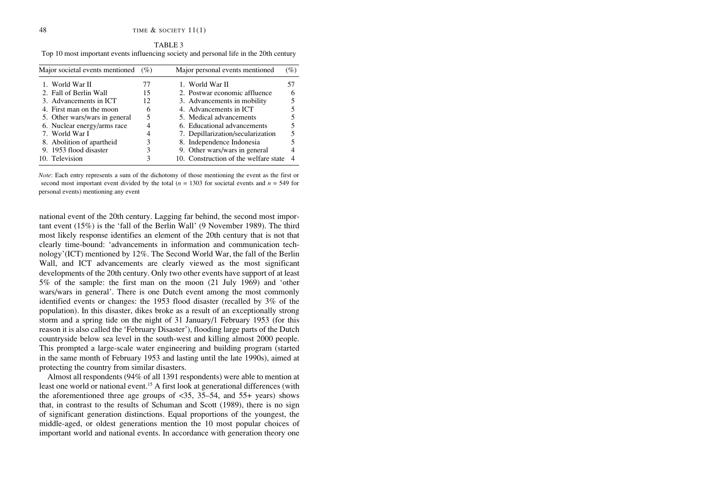| Major societal events mentioned | (%) | Major personal events mentioned       | $(\%)$ |
|---------------------------------|-----|---------------------------------------|--------|
| 1. World War II                 | 77  | 1. World War II                       | 57     |
| 2. Fall of Berlin Wall          | 15  | 2. Postwar economic affluence         |        |
| 3. Advancements in ICT          | 12  | 3. Advancements in mobility           |        |
| 4. First man on the moon        | 6   | 4. Advancements in ICT                |        |
| 5. Other wars/wars in general   |     | 5. Medical advancements               |        |
| 6. Nuclear energy/arms race     |     | 6. Educational advancements           |        |
| 7. World War I                  |     | 7. Depillarization/secularization     |        |
| 8. Abolition of apartheid       |     | 8. Independence Indonesia             |        |
| 9. 1953 flood disaster          |     | 9. Other wars/wars in general         |        |
| 10. Television                  |     | 10. Construction of the welfare state |        |

TABLE 3 Top 10 most important events influencing society and personal life in the 20th century

*Note*: Each entry represents a sum of the dichotomy of those mentioning the event as the first or second most important event divided by the total  $(n = 1303$  for societal events and  $n = 549$  for personal events) mentioning any event

national event of the 20th century. Lagging far behind, the second most important event (15%) is the 'fall of the Berlin Wall' (9 November 1989). The third most likely response identifies an element of the 20th century that is not that clearly time-bound: 'advancements in information and communication technology'(ICT) mentioned by 12%. The Second World War, the fall of the Berlin Wall, and ICT advancements are clearly viewed as the most significant developments of the 20th century. Only two other events have support of at least 5% of the sample: the first man on the moon (21 July 1969) and 'other wars/wars in general'. There is one Dutch event among the most commonly identified events or changes: the 1953 flood disaster (recalled by 3% of the population). In this disaster, dikes broke as a result of an exceptionally strong storm and a spring tide on the night of 31 January/1 February 1953 (for this reason it is also called the 'February Disaster'), flooding large parts of the Dutch countryside below sea level in the south-west and killing almost 2000 people. This prompted a large-scale water engineering and building program (started in the same month of February 1953 and lasting until the late 1990s), aimed at protecting the country from similar disasters.

Almost all respondents (94% of all 1391 respondents) were able to mention at least one world or national event.15 A first look at generational differences (with the aforementioned three age groups of  $\langle 35, 35-54, 35-54 \rangle$  and  $\langle 55+ \rangle$  years) shows that, in contrast to the results of Schuman and Scott (1989), there is no sign of significant generation distinctions. Equal proportions of the youngest, the middle-aged, or oldest generations mention the 10 most popular choices of important world and national events. In accordance with generation theory one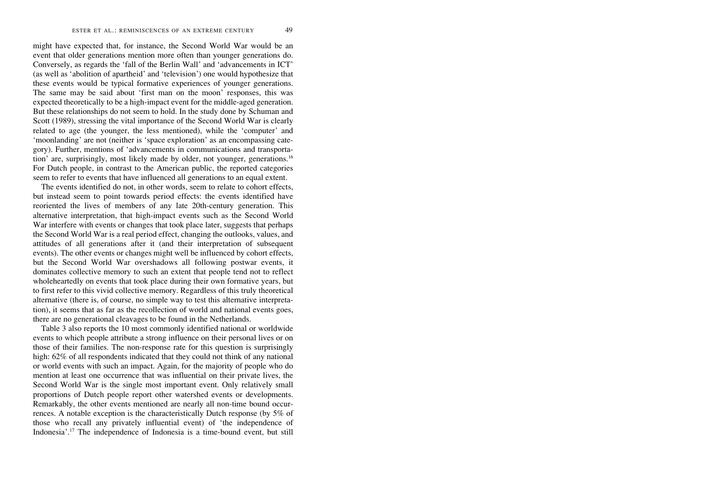might have expected that, for instance, the Second World War would be an event that older generations mention more often than younger generations do. Conversely, as regards the 'fall of the Berlin Wall' and 'advancements in ICT' (as well as 'abolition of apartheid' and 'television') one would hypothesize that these events would be typical formative experiences of younger generations. The same may be said about 'first man on the moon' responses, this was expected theoretically to be a high-impact event for the middle-aged generation. But these relationships do not seem to hold. In the study done by Schuman and Scott (1989), stressing the vital importance of the Second World War is clearly related to age (the younger, the less mentioned), while the 'computer' and 'moonlanding' are not (neither is 'space exploration' as an encompassing category). Further, mentions of 'advancements in communications and transportation' are, surprisingly, most likely made by older, not younger, generations.<sup>16</sup> For Dutch people, in contrast to the American public, the reported categories seem to refer to events that have influenced all generations to an equal extent.

The events identified do not, in other words, seem to relate to cohort effects, but instead seem to point towards period effects: the events identified have reoriented the lives of members of any late 20th-century generation. This alternative interpretation, that high-impact events such as the Second World War interfere with events or changes that took place later, suggests that perhaps the Second World War is a real period effect, changing the outlooks, values, and attitudes of all generations after it (and their interpretation of subsequent events). The other events or changes might well be influenced by cohort effects, but the Second World War overshadows all following postwar events, it dominates collective memory to such an extent that people tend not to reflect wholeheartedly on events that took place during their own formative years, but to first refer to this vivid collective memory. Regardless of this truly theoretical alternative (there is, of course, no simple way to test this alternative interpretation), it seems that as far as the recollection of world and national events goes, there are no generational cleavages to be found in the Netherlands.

Table 3 also reports the 10 most commonly identified national or worldwide events to which people attribute a strong influence on their personal lives or on those of their families. The non-response rate for this question is surprisingly high: 62% of all respondents indicated that they could not think of any national or world events with such an impact. Again, for the majority of people who do mention at least one occurrence that was influential on their private lives, the Second World War is the single most important event. Only relatively small proportions of Dutch people report other watershed events or developments. Remarkably, the other events mentioned are nearly all non-time bound occurrences. A notable exception is the characteristically Dutch response (by 5% of those who recall any privately influential event) of 'the independence of Indonesia'.17 The independence of Indonesia is a time-bound event, but still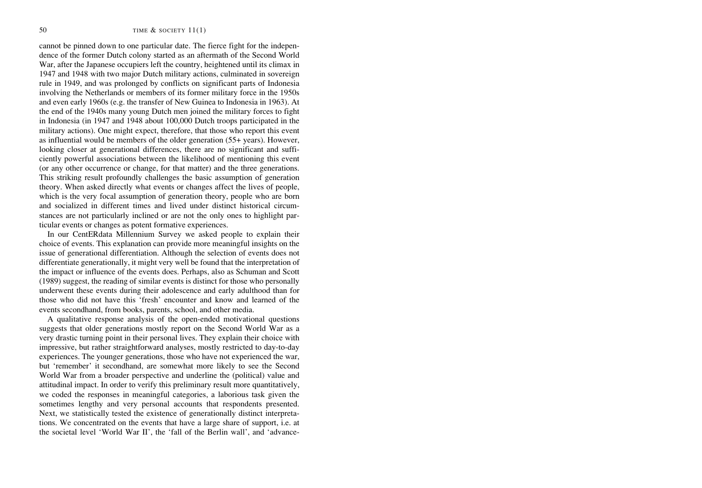cannot be pinned down to one particular date. The fierce fight for the independence of the former Dutch colony started as an aftermath of the Second World War, after the Japanese occupiers left the country, heightened until its climax in 1947 and 1948 with two major Dutch military actions, culminated in sovereign rule in 1949, and was prolonged by conflicts on significant parts of Indonesia involving the Netherlands or members of its former military force in the 1950s and even early 1960s (e.g. the transfer of New Guinea to Indonesia in 1963). At the end of the 1940s many young Dutch men joined the military forces to fight in Indonesia (in 1947 and 1948 about 100,000 Dutch troops participated in the military actions). One might expect, therefore, that those who report this event as influential would be members of the older generation (55+ years). However, looking closer at generational differences, there are no significant and sufficiently powerful associations between the likelihood of mentioning this event (or any other occurrence or change, for that matter) and the three generations. This striking result profoundly challenges the basic assumption of generation theory. When asked directly what events or changes affect the lives of people, which is the very focal assumption of generation theory, people who are born and socialized in different times and lived under distinct historical circumstances are not particularly inclined or are not the only ones to highlight particular events or changes as potent formative experiences.

In our CentERdata Millennium Survey we asked people to explain their choice of events. This explanation can provide more meaningful insights on the issue of generational differentiation. Although the selection of events does not differentiate generationally, it might very well be found that the interpretation of the impact or influence of the events does. Perhaps, also as Schuman and Scott (1989) suggest, the reading of similar events is distinct for those who personally underwent these events during their adolescence and early adulthood than for those who did not have this 'fresh' encounter and know and learned of the events secondhand, from books, parents, school, and other media.

A qualitative response analysis of the open-ended motivational questions suggests that older generations mostly report on the Second World War as a very drastic turning point in their personal lives. They explain their choice with impressive, but rather straightforward analyses, mostly restricted to day-to-day experiences. The younger generations, those who have not experienced the war, but 'remember' it secondhand, are somewhat more likely to see the Second World War from a broader perspective and underline the (political) value and attitudinal impact. In order to verify this preliminary result more quantitatively, we coded the responses in meaningful categories, a laborious task given the sometimes lengthy and very personal accounts that respondents presented. Next, we statistically tested the existence of generationally distinct interpretations. We concentrated on the events that have a large share of support, i.e. at the societal level 'World War II', the 'fall of the Berlin wall', and 'advance-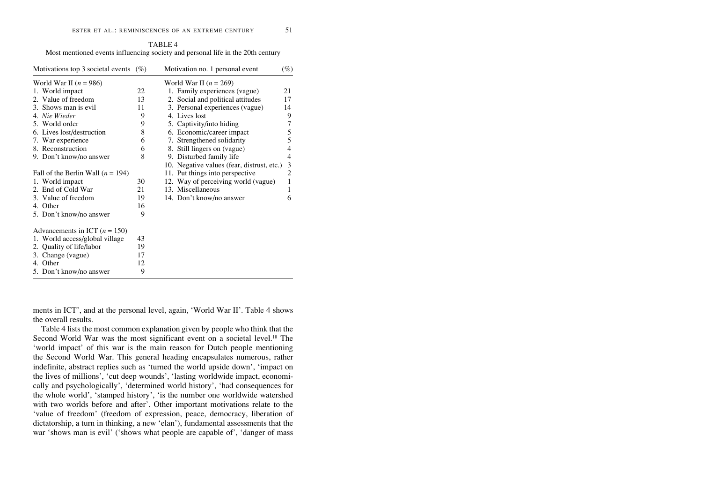| Motivations top 3 societal events $(\%)$ |    | Motivation no. 1 personal event            | $(\%)$ |
|------------------------------------------|----|--------------------------------------------|--------|
| World War II $(n = 986)$                 |    | World War II $(n = 269)$                   |        |
| 1. World impact                          | 22 | 1. Family experiences (vague)              | 21     |
| 2. Value of freedom                      | 13 | 2. Social and political attitudes          | 17     |
| 3. Shows man is evil                     | 11 | 3. Personal experiences (vague)            | 14     |
| 4. Nie Wieder                            | 9  | 4. Lives lost                              | 9      |
| 5. World order                           | 9  | 5. Captivity/into hiding                   | 7      |
| 6. Lives lost/destruction                | 8  | 6. Economic/career impact                  | 5      |
| 7. War experience                        | 6  | 7. Strengthened solidarity                 | 5      |
| 8. Reconstruction                        | 6  | 8. Still lingers on (vague)                | 4      |
| 9. Don't know/no answer                  | 8  | 9. Disturbed family life                   | 4      |
|                                          |    | 10. Negative values (fear, distrust, etc.) | 3      |
| Fall of the Berlin Wall ( $n = 194$ )    |    | 11. Put things into perspective            | 2      |
| 1. World impact                          | 30 | 12. Way of perceiving world (vague)        | 1      |
| 2. End of Cold War                       | 21 | 13. Miscellaneous                          | 1      |
| 3. Value of freedom                      | 19 | 14. Don't know/no answer                   | 6      |
| 4. Other                                 | 16 |                                            |        |
| 5. Don't know/no answer                  | 9  |                                            |        |
| Advancements in ICT $(n = 150)$          |    |                                            |        |
| 1. World access/global village           | 43 |                                            |        |
| 2. Quality of life/labor                 | 19 |                                            |        |
| 3. Change (vague)                        | 17 |                                            |        |
| 4. Other                                 | 12 |                                            |        |
| 5. Don't know/no answer                  | 9  |                                            |        |

TABLE 4

Most mentioned events influencing society and personal life in the 20th century

ments in ICT', and at the personal level, again, 'World War II'. Table 4 shows the overall results.

Table 4 lists the most common explanation given by people who think that the Second World War was the most significant event on a societal level.<sup>18</sup> The 'world impact' of this war is the main reason for Dutch people mentioning the Second World War. This general heading encapsulates numerous, rather indefinite, abstract replies such as 'turned the world upside down', 'impact on the lives of millions', 'cut deep wounds', 'lasting worldwide impact, economically and psychologically', 'determined world history', 'had consequences for the whole world', 'stamped history', 'is the number one worldwide watershed with two worlds before and after'. Other important motivations relate to the 'value of freedom' (freedom of expression, peace, democracy, liberation of dictatorship, a turn in thinking, a new 'elan'), fundamental assessments that the war 'shows man is evil' ('shows what people are capable of', 'danger of mass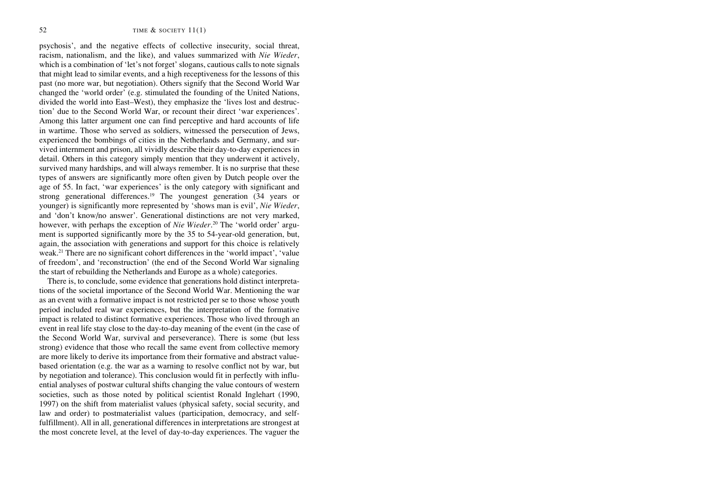psychosis', and the negative effects of collective insecurity, social threat, racism, nationalism, and the like), and values summarized with *Nie Wieder*, which is a combination of 'let's not forget' slogans, cautious calls to note signals that might lead to similar events, and a high receptiveness for the lessons of this past (no more war, but negotiation). Others signify that the Second World War changed the 'world order' (e.g. stimulated the founding of the United Nations, divided the world into East–West), they emphasize the 'lives lost and destruction' due to the Second World War, or recount their direct 'war experiences'. Among this latter argument one can find perceptive and hard accounts of life in wartime. Those who served as soldiers, witnessed the persecution of Jews, experienced the bombings of cities in the Netherlands and Germany, and survived internment and prison, all vividly describe their day-to-day experiences in detail. Others in this category simply mention that they underwent it actively, survived many hardships, and will always remember. It is no surprise that these types of answers are significantly more often given by Dutch people over the age of 55. In fact, 'war experiences' is the only category with significant and strong generational differences.<sup>19</sup> The youngest generation (34 years or younger) is significantly more represented by 'shows man is evil', *Nie Wieder*, and 'don't know/no answer'. Generational distinctions are not very marked, however, with perhaps the exception of *Nie Wieder*. <sup>20</sup> The 'world order' argument is supported significantly more by the 35 to 54-year-old generation, but, again, the association with generations and support for this choice is relatively weak.<sup>21</sup> There are no significant cohort differences in the 'world impact', 'value of freedom', and 'reconstruction' (the end of the Second World War signaling the start of rebuilding the Netherlands and Europe as a whole) categories.

There is, to conclude, some evidence that generations hold distinct interpretations of the societal importance of the Second World War. Mentioning the war as an event with a formative impact is not restricted per se to those whose youth period included real war experiences, but the interpretation of the formative impact is related to distinct formative experiences. Those who lived through an event in real life stay close to the day-to-day meaning of the event (in the case of the Second World War, survival and perseverance). There is some (but less strong) evidence that those who recall the same event from collective memory are more likely to derive its importance from their formative and abstract valuebased orientation (e.g. the war as a warning to resolve conflict not by war, but by negotiation and tolerance). This conclusion would fit in perfectly with influential analyses of postwar cultural shifts changing the value contours of western societies, such as those noted by political scientist Ronald Inglehart (1990, 1997) on the shift from materialist values (physical safety, social security, and law and order) to postmaterialist values (participation, democracy, and selffulfillment). All in all, generational differences in interpretations are strongest at the most concrete level, at the level of day-to-day experiences. The vaguer the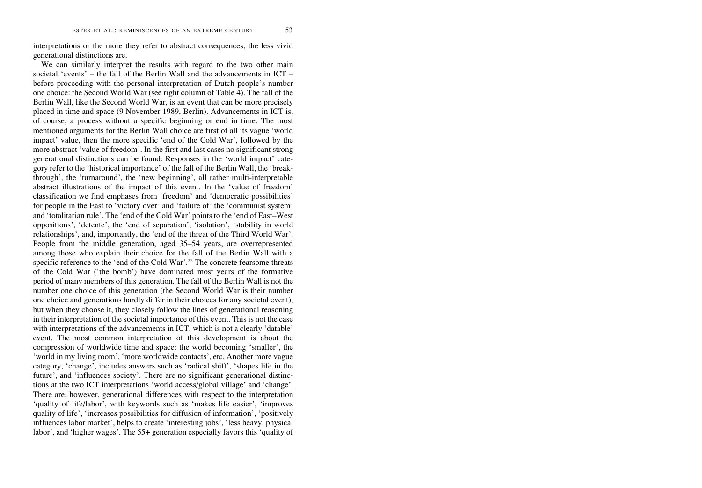interpretations or the more they refer to abstract consequences, the less vivid generational distinctions are.

We can similarly interpret the results with regard to the two other main societal 'events' – the fall of the Berlin Wall and the advancements in ICT – before proceeding with the personal interpretation of Dutch people's number one choice: the Second World War (see right column of Table 4). The fall of the Berlin Wall, like the Second World War, is an event that can be more precisely placed in time and space (9 November 1989, Berlin). Advancements in ICT is, of course, a process without a specific beginning or end in time. The most mentioned arguments for the Berlin Wall choice are first of all its vague 'world impact' value, then the more specific 'end of the Cold War', followed by the more abstract 'value of freedom'. In the first and last cases no significant strong generational distinctions can be found. Responses in the 'world impact' category refer to the 'historical importance' of the fall of the Berlin Wall, the 'breakthrough', the 'turnaround', the 'new beginning', all rather multi-interpretable abstract illustrations of the impact of this event. In the 'value of freedom' classification we find emphases from 'freedom' and 'democratic possibilities' for people in the East to 'victory over' and 'failure of' the 'communist system' and 'totalitarian rule'. The 'end of the Cold War' points to the 'end of East–West oppositions', 'detente', the 'end of separation', 'isolation', 'stability in world relationships', and, importantly, the 'end of the threat of the Third World War'. People from the middle generation, aged 35–54 years, are overrepresented among those who explain their choice for the fall of the Berlin Wall with a specific reference to the 'end of the Cold War'.<sup>22</sup> The concrete fearsome threats of the Cold War ('the bomb') have dominated most years of the formative period of many members of this generation. The fall of the Berlin Wall is not the number one choice of this generation (the Second World War is their number one choice and generations hardly differ in their choices for any societal event), but when they choose it, they closely follow the lines of generational reasoning in their interpretation of the societal importance of this event. This is not the case with interpretations of the advancements in ICT, which is not a clearly 'datable' event. The most common interpretation of this development is about the compression of worldwide time and space: the world becoming 'smaller', the 'world in my living room', 'more worldwide contacts', etc. Another more vague category, 'change', includes answers such as 'radical shift', 'shapes life in the future', and 'influences society'. There are no significant generational distinctions at the two ICT interpretations 'world access/global village' and 'change'. There are, however, generational differences with respect to the interpretation 'quality of life/labor', with keywords such as 'makes life easier', 'improves quality of life', 'increases possibilities for diffusion of information', 'positively influences labor market', helps to create 'interesting jobs', 'less heavy, physical labor', and 'higher wages'. The 55+ generation especially favors this 'quality of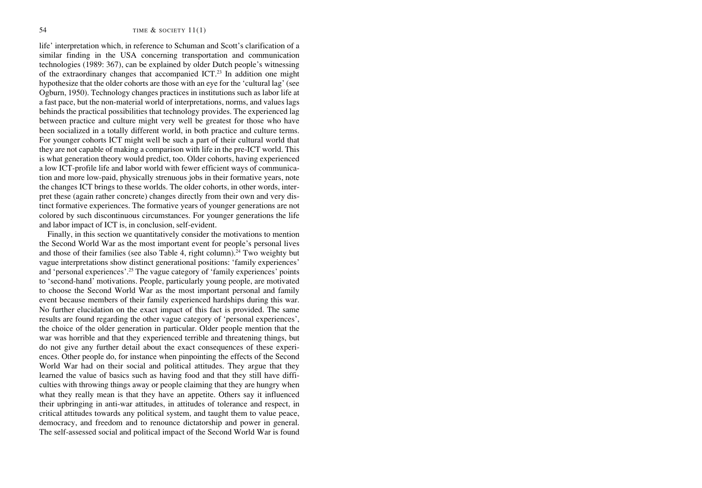life' interpretation which, in reference to Schuman and Scott's clarification of a similar finding in the USA concerning transportation and communication technologies (1989: 367), can be explained by older Dutch people's witnessing of the extraordinary changes that accompanied ICT.23 In addition one might hypothesize that the older cohorts are those with an eye for the 'cultural lag' (see Ogburn, 1950). Technology changes practices in institutions such as labor life at a fast pace, but the non-material world of interpretations, norms, and values lags behinds the practical possibilities that technology provides. The experienced lag between practice and culture might very well be greatest for those who have been socialized in a totally different world, in both practice and culture terms. For younger cohorts ICT might well be such a part of their cultural world that they are not capable of making a comparison with life in the pre-ICT world. This is what generation theory would predict, too. Older cohorts, having experienced a low ICT-profile life and labor world with fewer efficient ways of communication and more low-paid, physically strenuous jobs in their formative years, note the changes ICT brings to these worlds. The older cohorts, in other words, interpret these (again rather concrete) changes directly from their own and very distinct formative experiences. The formative years of younger generations are not colored by such discontinuous circumstances. For younger generations the life and labor impact of ICT is, in conclusion, self-evident.

Finally, in this section we quantitatively consider the motivations to mention the Second World War as the most important event for people's personal lives and those of their families (see also Table 4, right column).<sup>24</sup> Two weighty but vague interpretations show distinct generational positions: 'family experiences' and 'personal experiences'.25 The vague category of 'family experiences' points to 'second-hand' motivations. People, particularly young people, are motivated to choose the Second World War as the most important personal and family event because members of their family experienced hardships during this war. No further elucidation on the exact impact of this fact is provided. The same results are found regarding the other vague category of 'personal experiences', the choice of the older generation in particular. Older people mention that the war was horrible and that they experienced terrible and threatening things, but do not give any further detail about the exact consequences of these experiences. Other people do, for instance when pinpointing the effects of the Second World War had on their social and political attitudes. They argue that they learned the value of basics such as having food and that they still have difficulties with throwing things away or people claiming that they are hungry when what they really mean is that they have an appetite. Others say it influenced their upbringing in anti-war attitudes, in attitudes of tolerance and respect, in critical attitudes towards any political system, and taught them to value peace, democracy, and freedom and to renounce dictatorship and power in general. The self-assessed social and political impact of the Second World War is found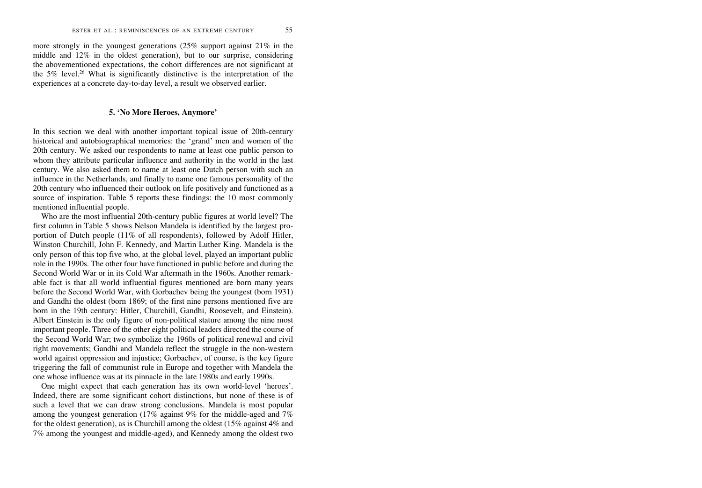more strongly in the youngest generations (25% support against 21% in the middle and 12% in the oldest generation), but to our surprise, considering the abovementioned expectations, the cohort differences are not significant at the 5% level.26 What is significantly distinctive is the interpretation of the experiences at a concrete day-to-day level, a result we observed earlier.

## **5. 'No More Heroes, Anymore'**

In this section we deal with another important topical issue of 20th-century historical and autobiographical memories: the 'grand' men and women of the 20th century. We asked our respondents to name at least one public person to whom they attribute particular influence and authority in the world in the last century. We also asked them to name at least one Dutch person with such an influence in the Netherlands, and finally to name one famous personality of the 20th century who influenced their outlook on life positively and functioned as a source of inspiration. Table 5 reports these findings: the 10 most commonly mentioned influential people.

Who are the most influential 20th-century public figures at world level? The first column in Table 5 shows Nelson Mandela is identified by the largest proportion of Dutch people (11% of all respondents), followed by Adolf Hitler, Winston Churchill, John F. Kennedy, and Martin Luther King. Mandela is the only person of this top five who, at the global level, played an important public role in the 1990s. The other four have functioned in public before and during the Second World War or in its Cold War aftermath in the 1960s. Another remarkable fact is that all world influential figures mentioned are born many years before the Second World War, with Gorbachev being the youngest (born 1931) and Gandhi the oldest (born 1869; of the first nine persons mentioned five are born in the 19th century: Hitler, Churchill, Gandhi, Roosevelt, and Einstein). Albert Einstein is the only figure of non-political stature among the nine most important people. Three of the other eight political leaders directed the course of the Second World War; two symbolize the 1960s of political renewal and civil right movements; Gandhi and Mandela reflect the struggle in the non-western world against oppression and injustice; Gorbachev, of course, is the key figure triggering the fall of communist rule in Europe and together with Mandela the one whose influence was at its pinnacle in the late 1980s and early 1990s.

One might expect that each generation has its own world-level 'heroes'. Indeed, there are some significant cohort distinctions, but none of these is of such a level that we can draw strong conclusions. Mandela is most popular among the youngest generation (17% against 9% for the middle-aged and 7% for the oldest generation), as is Churchill among the oldest (15% against 4% and 7% among the youngest and middle-aged), and Kennedy among the oldest two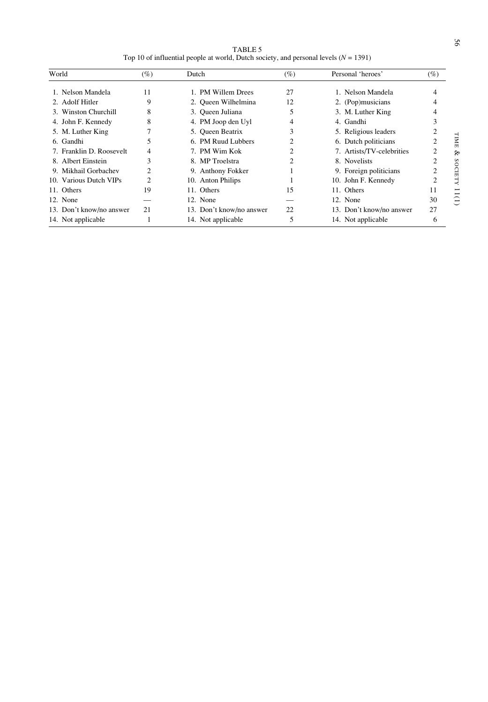| TABLE 5                                                                                  |  |
|------------------------------------------------------------------------------------------|--|
| Top 10 of influential people at world, Dutch society, and personal levels ( $N = 1391$ ) |  |

| World                    | $(\%)$ | Dutch                    | $(\%)$         | Personal 'heroes'         | $(\%)$         |
|--------------------------|--------|--------------------------|----------------|---------------------------|----------------|
| 1. Nelson Mandela        | 11     | 1. PM Willem Drees       | 27             | 1. Nelson Mandela         |                |
| 2. Adolf Hitler          | 9      | 2. Oueen Wilhelmina      | 12             | 2. (Pop)musicians         | 4              |
| 3. Winston Churchill     | 8      | 3. Oueen Juliana         | 5              | 3. M. Luther King         | 4              |
| 4. John F. Kennedy       | 8      | 4. PM Joop den Uyl       | 4              | 4. Gandhi                 | 3              |
| 5. M. Luther King        |        | 5. Oueen Beatrix         | 3              | 5. Religious leaders      | 2              |
| 6. Gandhi                |        | 6. PM Ruud Lubbers       | $\overline{c}$ | 6. Dutch politicians      | $\overline{c}$ |
| 7. Franklin D. Roosevelt | 4      | 7. PM Wim Kok            | 2              | 7. Artists/TV-celebrities | 2              |
| 8. Albert Einstein       | 3      | 8. MP Troelstra          | 2              | 8. Novelists              | 2              |
| 9. Mikhail Gorbachev     | 2      | 9. Anthony Fokker        |                | 9. Foreign politicians    | 2              |
| 10. Various Dutch VIPs   |        | 10. Anton Philips        |                | 10. John F. Kennedy       | 2              |
| 11. Others               | 19     | 11. Others               | 15             | 11. Others                | 11             |
| 12. None                 |        | 12. None                 |                | 12. None                  | 30             |
| 13. Don't know/no answer | 21     | 13. Don't know/no answer | 22             | 13. Don't know/no answer  | 27             |
| 14. Not applicable       |        | 14. Not applicable       | 5              | 14. Not applicable        | 6              |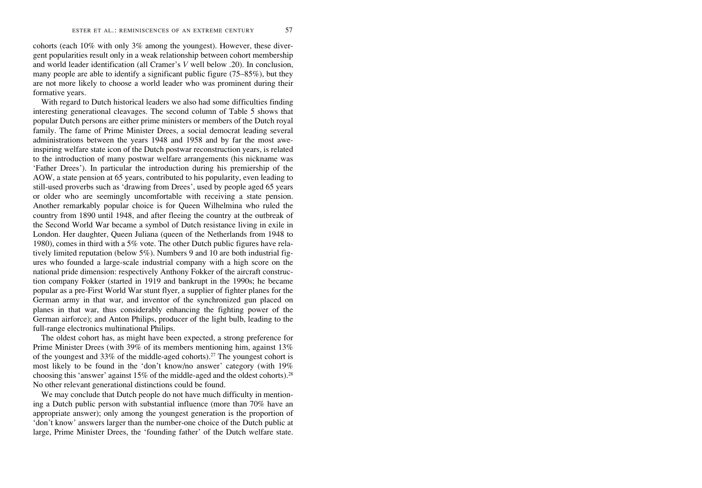cohorts (each 10% with only 3% among the youngest). However, these divergent popularities result only in a weak relationship between cohort membership and world leader identification (all Cramer's *V* well below .20). In conclusion, many people are able to identify a significant public figure (75–85%), but they are not more likely to choose a world leader who was prominent during their formative years.

With regard to Dutch historical leaders we also had some difficulties finding interesting generational cleavages. The second column of Table 5 shows that popular Dutch persons are either prime ministers or members of the Dutch royal family. The fame of Prime Minister Drees, a social democrat leading several administrations between the years 1948 and 1958 and by far the most aweinspiring welfare state icon of the Dutch postwar reconstruction years, is related to the introduction of many postwar welfare arrangements (his nickname was 'Father Drees'). In particular the introduction during his premiership of the AOW, a state pension at 65 years, contributed to his popularity, even leading to still-used proverbs such as 'drawing from Drees', used by people aged 65 years or older who are seemingly uncomfortable with receiving a state pension. Another remarkably popular choice is for Queen Wilhelmina who ruled the country from 1890 until 1948, and after fleeing the country at the outbreak of the Second World War became a symbol of Dutch resistance living in exile in London. Her daughter, Queen Juliana (queen of the Netherlands from 1948 to 1980), comes in third with a 5% vote. The other Dutch public figures have relatively limited reputation (below 5%). Numbers 9 and 10 are both industrial figures who founded a large-scale industrial company with a high score on the national pride dimension: respectively Anthony Fokker of the aircraft construction company Fokker (started in 1919 and bankrupt in the 1990s; he became popular as a pre-First World War stunt flyer, a supplier of fighter planes for the German army in that war, and inventor of the synchronized gun placed on planes in that war, thus considerably enhancing the fighting power of the German airforce); and Anton Philips, producer of the light bulb, leading to the full-range electronics multinational Philips.

The oldest cohort has, as might have been expected, a strong preference for Prime Minister Drees (with 39% of its members mentioning him, against 13% of the youngest and 33% of the middle-aged cohorts).<sup>27</sup> The youngest cohort is most likely to be found in the 'don't know/no answer' category (with 19% choosing this 'answer' against 15% of the middle-aged and the oldest cohorts).28 No other relevant generational distinctions could be found.

We may conclude that Dutch people do not have much difficulty in mentioning a Dutch public person with substantial influence (more than 70% have an appropriate answer); only among the youngest generation is the proportion of 'don't know' answers larger than the number-one choice of the Dutch public at large, Prime Minister Drees, the 'founding father' of the Dutch welfare state.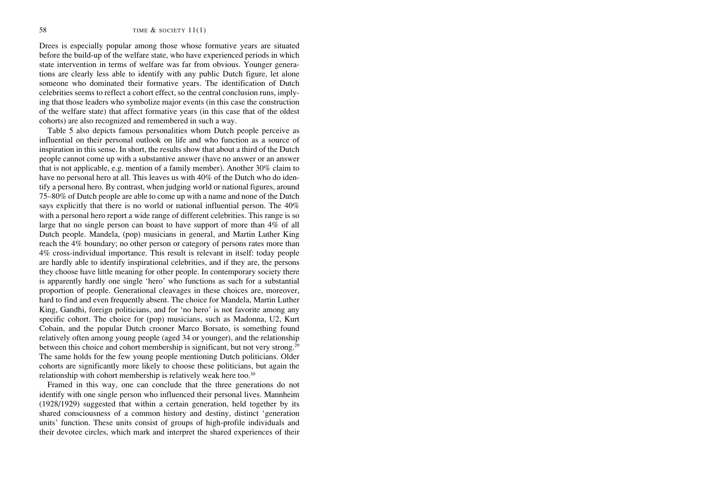Drees is especially popular among those whose formative years are situated before the build-up of the welfare state, who have experienced periods in which state intervention in terms of welfare was far from obvious. Younger generations are clearly less able to identify with any public Dutch figure, let alone someone who dominated their formative years. The identification of Dutch celebrities seems to reflect a cohort effect, so the central conclusion runs, implying that those leaders who symbolize major events (in this case the construction of the welfare state) that affect formative years (in this case that of the oldest cohorts) are also recognized and remembered in such a way.

Table 5 also depicts famous personalities whom Dutch people perceive as influential on their personal outlook on life and who function as a source of inspiration in this sense. In short, the results show that about a third of the Dutch people cannot come up with a substantive answer (have no answer or an answer that is not applicable, e.g. mention of a family member). Another 30% claim to have no personal hero at all. This leaves us with 40% of the Dutch who do identify a personal hero. By contrast, when judging world or national figures, around 75–80% of Dutch people are able to come up with a name and none of the Dutch says explicitly that there is no world or national influential person. The 40% with a personal hero report a wide range of different celebrities. This range is so large that no single person can boast to have support of more than  $4\%$  of all Dutch people. Mandela, (pop) musicians in general, and Martin Luther King reach the 4% boundary; no other person or category of persons rates more than 4% cross-individual importance. This result is relevant in itself: today people are hardly able to identify inspirational celebrities, and if they are, the persons they choose have little meaning for other people. In contemporary society there is apparently hardly one single 'hero' who functions as such for a substantial proportion of people. Generational cleavages in these choices are, moreover, hard to find and even frequently absent. The choice for Mandela, Martin Luther King, Gandhi, foreign politicians, and for 'no hero' is not favorite among any specific cohort. The choice for (pop) musicians, such as Madonna, U2, Kurt Cobain, and the popular Dutch crooner Marco Borsato, is something found relatively often among young people (aged 34 or younger), and the relationship between this choice and cohort membership is significant, but not very strong.<sup>29</sup> The same holds for the few young people mentioning Dutch politicians. Older cohorts are significantly more likely to choose these politicians, but again the relationship with cohort membership is relatively weak here too.<sup>30</sup>

Framed in this way, one can conclude that the three generations do not identify with one single person who influenced their personal lives. Mannheim (1928/1929) suggested that within a certain generation, held together by its shared consciousness of a common history and destiny, distinct 'generation units' function. These units consist of groups of high-profile individuals and their devotee circles, which mark and interpret the shared experiences of their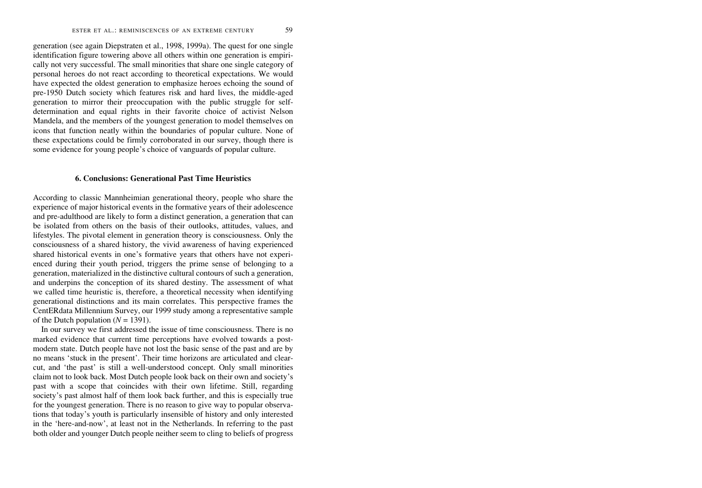generation (see again Diepstraten et al., 1998, 1999a). The quest for one single identification figure towering above all others within one generation is empirically not very successful. The small minorities that share one single category of personal heroes do not react according to theoretical expectations. We would have expected the oldest generation to emphasize heroes echoing the sound of pre-1950 Dutch society which features risk and hard lives, the middle-aged generation to mirror their preoccupation with the public struggle for selfdetermination and equal rights in their favorite choice of activist Nelson Mandela, and the members of the youngest generation to model themselves on icons that function neatly within the boundaries of popular culture. None of these expectations could be firmly corroborated in our survey, though there is some evidence for young people's choice of vanguards of popular culture.

### **6. Conclusions: Generational Past Time Heuristics**

According to classic Mannheimian generational theory, people who share the experience of major historical events in the formative years of their adolescence and pre-adulthood are likely to form a distinct generation, a generation that can be isolated from others on the basis of their outlooks, attitudes, values, and lifestyles. The pivotal element in generation theory is consciousness. Only the consciousness of a shared history, the vivid awareness of having experienced shared historical events in one's formative years that others have not experienced during their youth period, triggers the prime sense of belonging to a generation, materialized in the distinctive cultural contours of such a generation, and underpins the conception of its shared destiny. The assessment of what we called time heuristic is, therefore, a theoretical necessity when identifying generational distinctions and its main correlates. This perspective frames the CentERdata Millennium Survey, our 1999 study among a representative sample of the Dutch population  $(N = 1391)$ .

In our survey we first addressed the issue of time consciousness. There is no marked evidence that current time perceptions have evolved towards a postmodern state. Dutch people have not lost the basic sense of the past and are by no means 'stuck in the present'. Their time horizons are articulated and clearcut, and 'the past' is still a well-understood concept. Only small minorities claim not to look back. Most Dutch people look back on their own and society's past with a scope that coincides with their own lifetime. Still, regarding society's past almost half of them look back further, and this is especially true for the youngest generation. There is no reason to give way to popular observations that today's youth is particularly insensible of history and only interested in the 'here-and-now', at least not in the Netherlands. In referring to the past both older and younger Dutch people neither seem to cling to beliefs of progress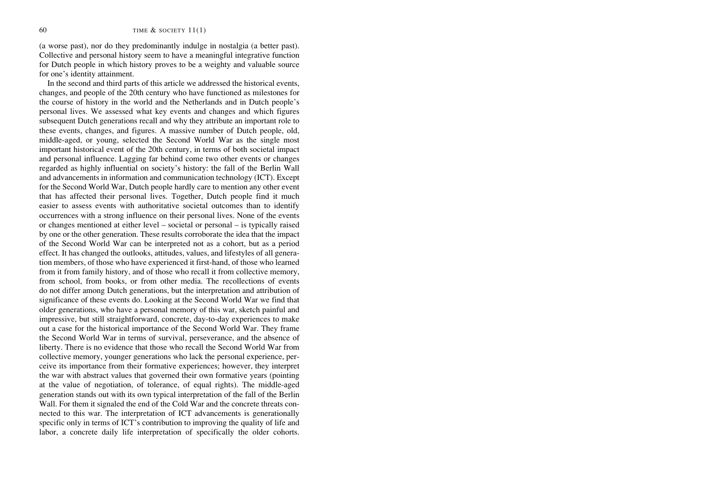(a worse past), nor do they predominantly indulge in nostalgia (a better past). Collective and personal history seem to have a meaningful integrative function for Dutch people in which history proves to be a weighty and valuable source for one's identity attainment.

In the second and third parts of this article we addressed the historical events, changes, and people of the 20th century who have functioned as milestones for the course of history in the world and the Netherlands and in Dutch people's personal lives. We assessed what key events and changes and which figures subsequent Dutch generations recall and why they attribute an important role to these events, changes, and figures. A massive number of Dutch people, old, middle-aged, or young, selected the Second World War as the single most important historical event of the 20th century, in terms of both societal impact and personal influence. Lagging far behind come two other events or changes regarded as highly influential on society's history: the fall of the Berlin Wall and advancements in information and communication technology (ICT). Except for the Second World War, Dutch people hardly care to mention any other event that has affected their personal lives. Together, Dutch people find it much easier to assess events with authoritative societal outcomes than to identify occurrences with a strong influence on their personal lives. None of the events or changes mentioned at either level – societal or personal – is typically raised by one or the other generation. These results corroborate the idea that the impact of the Second World War can be interpreted not as a cohort, but as a period effect. It has changed the outlooks, attitudes, values, and lifestyles of all generation members, of those who have experienced it first-hand, of those who learned from it from family history, and of those who recall it from collective memory, from school, from books, or from other media. The recollections of events do not differ among Dutch generations, but the interpretation and attribution of significance of these events do. Looking at the Second World War we find that older generations, who have a personal memory of this war, sketch painful and impressive, but still straightforward, concrete, day-to-day experiences to make out a case for the historical importance of the Second World War. They frame the Second World War in terms of survival, perseverance, and the absence of liberty. There is no evidence that those who recall the Second World War from collective memory, younger generations who lack the personal experience, perceive its importance from their formative experiences; however, they interpret the war with abstract values that governed their own formative years (pointing at the value of negotiation, of tolerance, of equal rights). The middle-aged generation stands out with its own typical interpretation of the fall of the Berlin Wall. For them it signaled the end of the Cold War and the concrete threats connected to this war. The interpretation of ICT advancements is generationally specific only in terms of ICT's contribution to improving the quality of life and labor, a concrete daily life interpretation of specifically the older cohorts.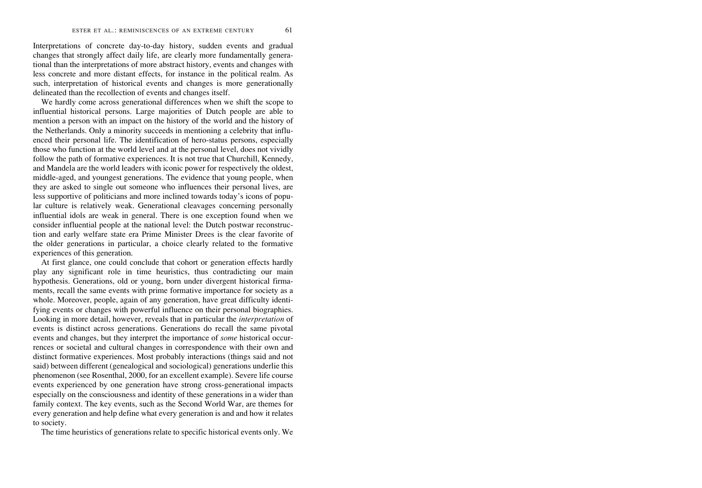Interpretations of concrete day-to-day history, sudden events and gradual changes that strongly affect daily life, are clearly more fundamentally generational than the interpretations of more abstract history, events and changes with less concrete and more distant effects, for instance in the political realm. As such, interpretation of historical events and changes is more generationally delineated than the recollection of events and changes itself.

We hardly come across generational differences when we shift the scope to influential historical persons. Large majorities of Dutch people are able to mention a person with an impact on the history of the world and the history of the Netherlands. Only a minority succeeds in mentioning a celebrity that influenced their personal life. The identification of hero-status persons, especially those who function at the world level and at the personal level, does not vividly follow the path of formative experiences. It is not true that Churchill, Kennedy, and Mandela are the world leaders with iconic power for respectively the oldest, middle-aged, and youngest generations. The evidence that young people, when they are asked to single out someone who influences their personal lives, are less supportive of politicians and more inclined towards today's icons of popular culture is relatively weak. Generational cleavages concerning personally influential idols are weak in general. There is one exception found when we consider influential people at the national level: the Dutch postwar reconstruction and early welfare state era Prime Minister Drees is the clear favorite of the older generations in particular, a choice clearly related to the formative experiences of this generation.

At first glance, one could conclude that cohort or generation effects hardly play any significant role in time heuristics, thus contradicting our main hypothesis. Generations, old or young, born under divergent historical firmaments, recall the same events with prime formative importance for society as a whole. Moreover, people, again of any generation, have great difficulty identifying events or changes with powerful influence on their personal biographies. Looking in more detail, however, reveals that in particular the *interpretation* of events is distinct across generations. Generations do recall the same pivotal events and changes, but they interpret the importance of *some* historical occurrences or societal and cultural changes in correspondence with their own and distinct formative experiences. Most probably interactions (things said and not said) between different (genealogical and sociological) generations underlie this phenomenon (see Rosenthal, 2000, for an excellent example). Severe life course events experienced by one generation have strong cross-generational impacts especially on the consciousness and identity of these generations in a wider than family context. The key events, such as the Second World War, are themes for every generation and help define what every generation is and and how it relates to society.

The time heuristics of generations relate to specific historical events only. We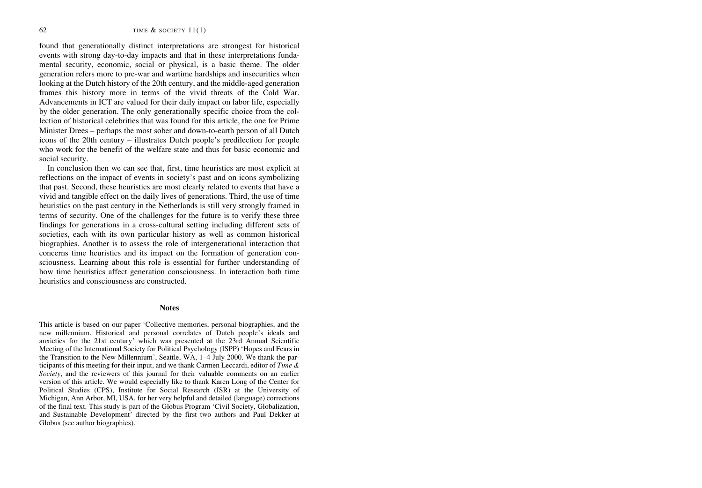found that generationally distinct interpretations are strongest for historical events with strong day-to-day impacts and that in these interpretations fundamental security, economic, social or physical, is a basic theme. The older generation refers more to pre-war and wartime hardships and insecurities when looking at the Dutch history of the 20th century, and the middle-aged generation frames this history more in terms of the vivid threats of the Cold War. Advancements in ICT are valued for their daily impact on labor life, especially by the older generation. The only generationally specific choice from the collection of historical celebrities that was found for this article, the one for Prime Minister Drees – perhaps the most sober and down-to-earth person of all Dutch icons of the 20th century – illustrates Dutch people's predilection for people who work for the benefit of the welfare state and thus for basic economic and social security.

In conclusion then we can see that, first, time heuristics are most explicit at reflections on the impact of events in society's past and on icons symbolizing that past. Second, these heuristics are most clearly related to events that have a vivid and tangible effect on the daily lives of generations. Third, the use of time heuristics on the past century in the Netherlands is still very strongly framed in terms of security. One of the challenges for the future is to verify these three findings for generations in a cross-cultural setting including different sets of societies, each with its own particular history as well as common historical biographies. Another is to assess the role of intergenerational interaction that concerns time heuristics and its impact on the formation of generation consciousness. Learning about this role is essential for further understanding of how time heuristics affect generation consciousness. In interaction both time heuristics and consciousness are constructed.

### **Notes**

This article is based on our paper 'Collective memories, personal biographies, and the new millennium. Historical and personal correlates of Dutch people's ideals and anxieties for the 21st century' which was presented at the 23rd Annual Scientific Meeting of the International Society for Political Psychology (ISPP) 'Hopes and Fears in the Transition to the New Millennium', Seattle, WA, 1–4 July 2000. We thank the participants of this meeting for their input, and we thank Carmen Leccardi, editor of *Time & Society*, and the reviewers of this journal for their valuable comments on an earlier version of this article. We would especially like to thank Karen Long of the Center for Political Studies (CPS), Institute for Social Research (ISR) at the University of Michigan, Ann Arbor, MI, USA, for her very helpful and detailed (language) corrections of the final text. This study is part of the Globus Program 'Civil Society, Globalization, and Sustainable Development' directed by the first two authors and Paul Dekker at Globus (see author biographies).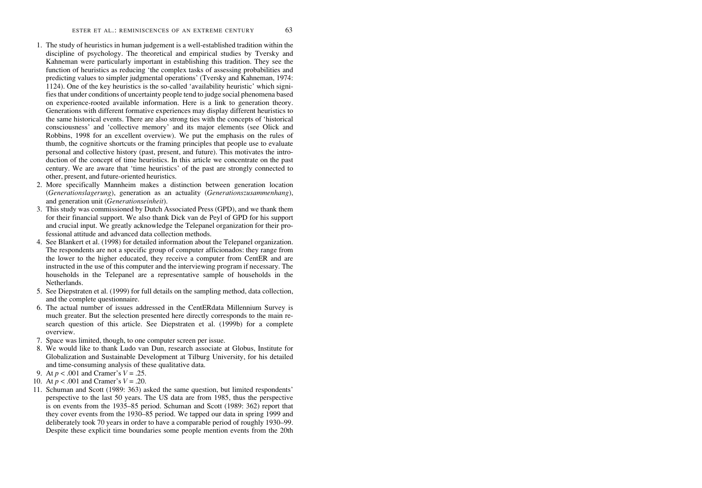- 1. The study of heuristics in human judgement is a well-established tradition within the discipline of psychology. The theoretical and empirical studies by Tversky and Kahneman were particularly important in establishing this tradition. They see the function of heuristics as reducing 'the complex tasks of assessing probabilities and predicting values to simpler judgmental operations' (Tversky and Kahneman, 1974: 1124). One of the key heuristics is the so-called 'availability heuristic' which signifies that under conditions of uncertainty people tend to judge social phenomena based on experience-rooted available information. Here is a link to generation theory. Generations with different formative experiences may display different heuristics to the same historical events. There are also strong ties with the concepts of 'historical consciousness' and 'collective memory' and its major elements (see Olick and Robbins, 1998 for an excellent overview). We put the emphasis on the rules of thumb, the cognitive shortcuts or the framing principles that people use to evaluate personal and collective history (past, present, and future). This motivates the introduction of the concept of time heuristics. In this article we concentrate on the past century. We are aware that 'time heuristics' of the past are strongly connected to other, present, and future-oriented heuristics.
- 2. More specifically Mannheim makes a distinction between generation location (*Generationslagerung*), generation as an actuality (*Generationszusammenhang*), and generation unit (*Generationseinheit*).
- 3. This study was commissioned by Dutch Associated Press (GPD), and we thank them for their financial support. We also thank Dick van de Peyl of GPD for his support and crucial input. We greatly acknowledge the Telepanel organization for their professional attitude and advanced data collection methods.
- 4. See Blankert et al. (1998) for detailed information about the Telepanel organization. The respondents are not a specific group of computer afficionados: they range from the lower to the higher educated, they receive a computer from CentER and are instructed in the use of this computer and the interviewing program if necessary. The households in the Telepanel are a representative sample of households in the Netherlands.
- 5. See Diepstraten et al. (1999) for full details on the sampling method, data collection, and the complete questionnaire.
- 6. The actual number of issues addressed in the CentERdata Millennium Survey is much greater. But the selection presented here directly corresponds to the main research question of this article. See Diepstraten et al. (1999b) for a complete overview.
- 7. Space was limited, though, to one computer screen per issue.
- 8. We would like to thank Ludo van Dun, research associate at Globus, Institute for Globalization and Sustainable Development at Tilburg University, for his detailed and time-consuming analysis of these qualitative data.
- 9. At *p* < .001 and Cramer's *V* = .25.
- 10. At *p* < .001 and Cramer's *V* = .20.
- 11. Schuman and Scott (1989: 363) asked the same question, but limited respondents' perspective to the last 50 years. The US data are from 1985, thus the perspective is on events from the 1935–85 period. Schuman and Scott (1989: 362) report that they cover events from the 1930–85 period. We tapped our data in spring 1999 and deliberately took 70 years in order to have a comparable period of roughly 1930–99. Despite these explicit time boundaries some people mention events from the 20th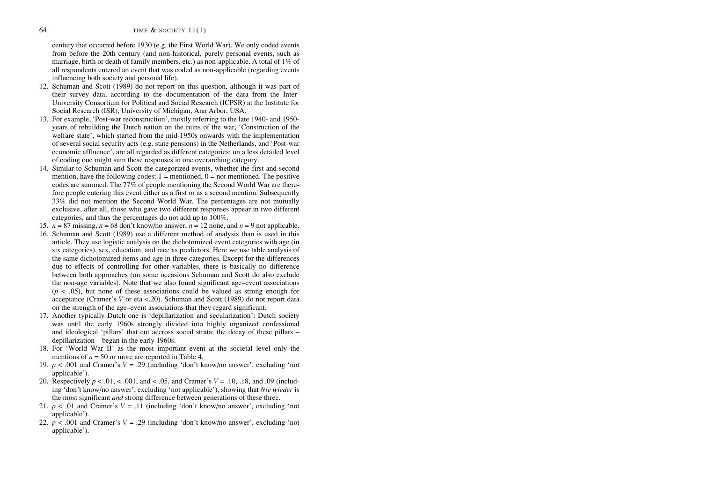century that occurred before 1930 (e.g. the First World War). We only coded events from before the 20th century (and non-historical, purely personal events, such as marriage, birth or death of family members, etc.) as non-applicable. A total of 1% of all respondents entered an event that was coded as non-applicable (regarding events influencing both society and personal life).

- 12. Schuman and Scott (1989) do not report on this question, although it was part of their survey data, according to the documentation of the data from the Inter-University Consortium for Political and Social Research (ICPSR) at the Institute for Social Research (ISR), University of Michigan, Ann Arbor, USA.
- 13. For example, 'Post-war reconstruction', mostly referring to the late 1940- and 1950 years of rebuilding the Dutch nation on the ruins of the war, 'Construction of the welfare state', which started from the mid-1950s onwards with the implementation of several social security acts (e.g. state pensions) in the Netherlands, and 'Post-war economic affluence', are all regarded as different categories; on a less detailed level of coding one might sum these responses in one overarching category.
- 14. Similar to Schuman and Scott the categorized events, whether the first and second mention, have the following codes:  $1 =$  mentioned,  $0 =$  not mentioned. The positive codes are summed. The 77% of people mentioning the Second World War are therefore people entering this event either as a first or as a second mention. Subsequently 33% did not mention the Second World War. The percentages are not mutually exclusive, after all, those who gave two different responses appear in two different categories, and thus the percentages do not add up to 100%.
- 15.  $n = 87$  missing,  $n = 68$  don't know/no answer,  $n = 12$  none, and  $n = 9$  not applicable.
- 16. Schuman and Scott (1989) use a different method of analysis than is used in this article. They use logistic analysis on the dichotomized event categories with age (in six categories), sex, education, and race as predictors. Here we use table analysis of the same dichotomized items and age in three categories. Except for the differences due to effects of controlling for other variables, there is basically no difference between both approaches (on some occasions Schuman and Scott do also exclude the non-age variables). Note that we also found significant age–event associations  $(p < .05)$ , but none of these associations could be valued as strong enough for acceptance (Cramer's *V* or eta <.20). Schuman and Scott (1989) do not report data on the strength of the age–event associations that they regard significant.
- 17. Another typically Dutch one is 'depillarization and secularization': Dutch society was until the early 1960s strongly divided into highly organized confessional and ideological 'pillars' that cut accross social strata; the decay of these pillars – depillarization – began in the early 1960s.
- 18. For 'World War II' as the most important event at the societal level only the mentions of  $n = 50$  or more are reported in Table 4.
- 19.  $p < .001$  and Cramer's  $V = .29$  (including 'don't know/no answer', excluding 'not applicable').
- 20. Respectively *p* < .01, < .001, and < .05, and Cramer's *V* = .10, .18, and .09 (including 'don't know/no answer', excluding 'not applicable'), showing that *Nie wieder* is the most significant *and* strong difference between generations of these three.
- 21.  $p < .01$  and Cramer's  $V = .11$  (including 'don't know/no answer', excluding 'not applicable').
- 22.  $p < .001$  and Cramer's  $V = .29$  (including 'don't know/no answer', excluding 'not applicable').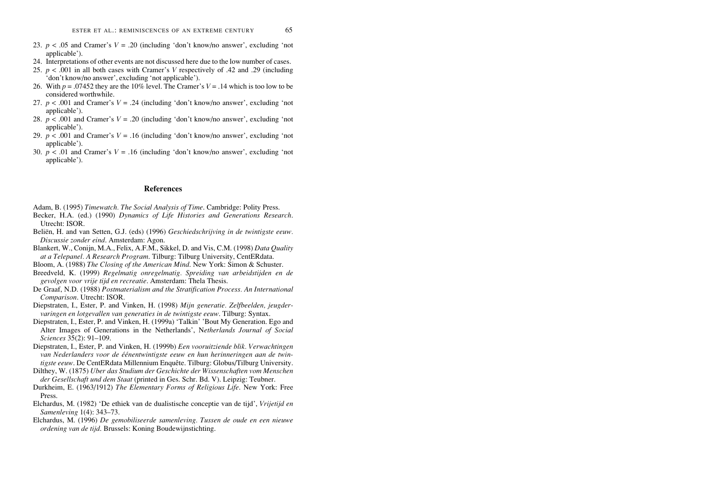- 23.  $p < .05$  and Cramer's  $V = .20$  (including 'don't know/no answer', excluding 'not applicable').
- 24. Interpretations of other events are not discussed here due to the low number of cases.
- 25.  $p < .001$  in all both cases with Cramer's *V* respectively of .42 and .29 (including 'don't know/no answer', excluding 'not applicable').
- 26. With  $p = 0.07452$  they are the 10% level. The Cramer's  $V = 0.14$  which is too low to be considered worthwhile.
- 27.  $p < .001$  and Cramer's  $V = .24$  (including 'don't know/no answer', excluding 'not applicable').
- 28.  $p < .001$  and Cramer's  $V = .20$  (including 'don't know/no answer', excluding 'not applicable').
- 29.  $p < .001$  and Cramer's  $V = .16$  (including 'don't know/no answer', excluding 'not applicable').
- 30.  $p < .01$  and Cramer's  $V = .16$  (including 'don't know/no answer', excluding 'not applicable').

#### **References**

- Adam, B. (1995) *Timewatch. The Social Analysis of Time*. Cambridge: Polity Press.
- Becker, H.A. (ed.) (1990) *Dynamics of Life Histories and Generations Research*. Utrecht: ISOR.
- Beliën, H. and van Setten, G.J. (eds) (1996) *Geschiedschrijving in de twintigste eeuw. Discussie zonder eind*. Amsterdam: Agon.
- Blankert, W., Conijn, M.A., Felix, A.F.M., Sikkel, D. and Vis, C.M. (1998) *Data Quality at a Telepanel. A Research Program*. Tilburg: Tilburg University, CentERdata.
- Bloom, A. (1988) *The Closing of the American Mind*. New York: Simon & Schuster.
- Breedveld, K. (1999) *Regelmatig onregelmatig. Spreiding van arbeidstijden en de gevolgen voor vrije tijd en recreatie*. Amsterdam: Thela Thesis.
- De Graaf, N.D. (1988) *Postmaterialism and the Stratification Process. An International Comparison*. Utrecht: ISOR.
- Diepstraten, I., Ester, P. and Vinken, H. (1998) *Mijn generatie. Zelfbeelden, jeugdervaringen en lotgevallen van generaties in de twintigste eeuw*. Tilburg: Syntax.
- Diepstraten, I., Ester, P. and Vinken, H. (1999a) 'Talkin' 'Bout My Generation. Ego and Alter Images of Generations in the Netherlands', N*etherlands Journal of Social Sciences* 35(2): 91–109.
- Diepstraten, I., Ester, P. and Vinken, H. (1999b) *Een vooruitziende blik. Verwachtingen van Nederlanders voor de éénentwintigste eeuw en hun herinneringen aan de twintigste eeuw*. De CentERdata Millennium Enquête. Tilburg: Globus/Tilburg University.
- Dilthey, W. (1875) *Uber das Studium der Geschichte der Wissenschaften vom Menschen der Gesellschaft und dem Staat* (printed in Ges. Schr. Bd. V). Leipzig: Teubner.
- Durkheim, E. (1963/1912) *The Elementary Forms of Religious Life*. New York: Free Press.
- Elchardus, M. (1982) 'De ethiek van de dualistische conceptie van de tijd', *Vrijetijd en Samenleving* 1(4): 343–73.
- Elchardus, M. (1996) *De gemobiliseerde samenleving. Tussen de oude en een nieuwe ordening van de tijd*. Brussels: Koning Boudewijnstichting.